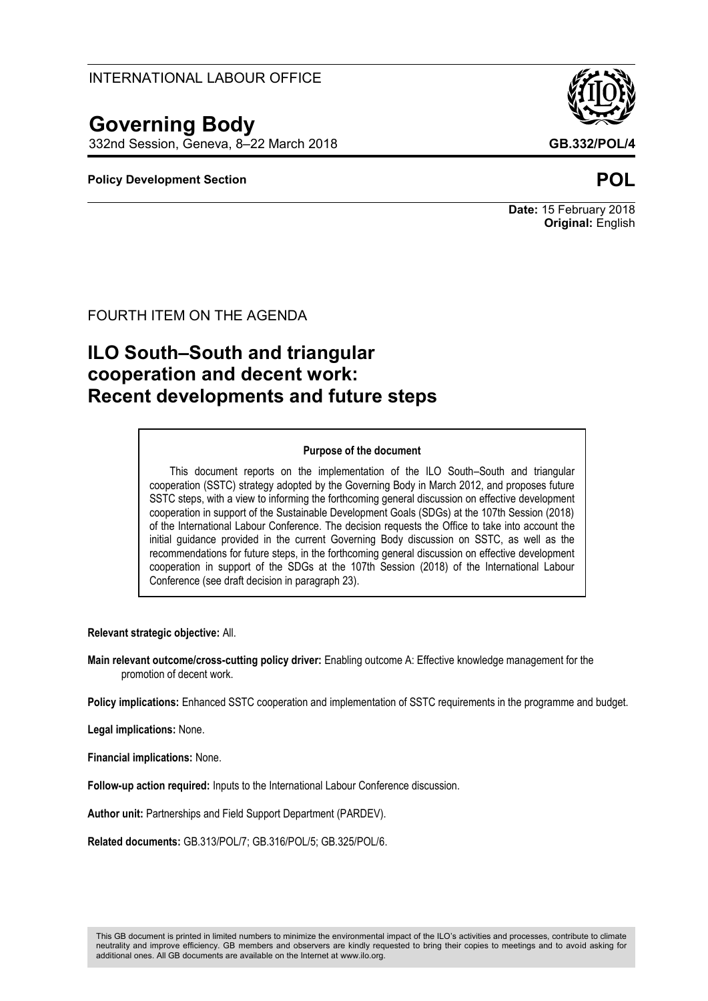# **Governing Body**

332nd Session, Geneva, 8–22 March 2018 **GB.332/POL/4**

### **Policy Development Section POL**



**Date:** 15 February 2018 **Original:** English

FOURTH ITEM ON THE AGENDA

# **ILO South–South and triangular cooperation and decent work: Recent developments and future steps**

#### **Purpose of the document**

This document reports on the implementation of the ILO South–South and triangular cooperation (SSTC) strategy adopted by the Governing Body in March 2012, and proposes future SSTC steps, with a view to informing the forthcoming general discussion on effective development cooperation in support of the Sustainable Development Goals (SDGs) at the 107th Session (2018) of the International Labour Conference. The decision requests the Office to take into account the initial guidance provided in the current Governing Body discussion on SSTC, as well as the recommendations for future steps, in the forthcoming general discussion on effective development cooperation in support of the SDGs at the 107th Session (2018) of the International Labour Conference (see draft decision in paragraph 23).

**Relevant strategic objective:** All.

**Main relevant outcome/cross-cutting policy driver:** Enabling outcome A: Effective knowledge management for the promotion of decent work.

**Policy implications:** Enhanced SSTC cooperation and implementation of SSTC requirements in the programme and budget.

**Legal implications:** None.

**Financial implications:** None.

**Follow-up action required:** Inputs to the International Labour Conference discussion.

**Author unit:** Partnerships and Field Support Department (PARDEV).

**Related documents:** GB.313/POL/7; GB.316/POL/5; GB.325/POL/6.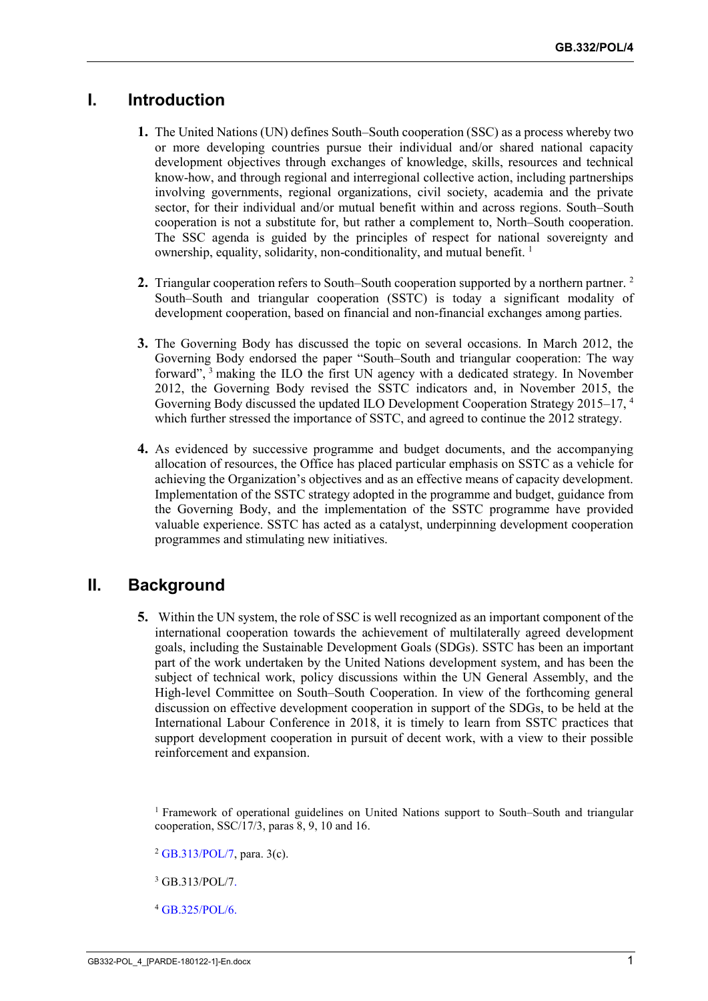# **I. Introduction**

- **1.** The United Nations (UN) defines South–South cooperation (SSC) as a process whereby two or more developing countries pursue their individual and/or shared national capacity development objectives through exchanges of knowledge, skills, resources and technical know-how, and through regional and interregional collective action, including partnerships involving governments, regional organizations, civil society, academia and the private sector, for their individual and/or mutual benefit within and across regions. South–South cooperation is not a substitute for, but rather a complement to, North–South cooperation. The SSC agenda is guided by the principles of respect for national sovereignty and ownership, equality, solidarity, non-conditionality, and mutual benefit. 1
- **2.** Triangular cooperation refers to South–South cooperation supported by a northern partner. <sup>2</sup> South–South and triangular cooperation (SSTC) is today a significant modality of development cooperation, based on financial and non-financial exchanges among parties.
- **3.** The Governing Body has discussed the topic on several occasions. In March 2012, the Governing Body endorsed the paper "South–South and triangular cooperation: The way forward", <sup>3</sup> making the ILO the first UN agency with a dedicated strategy. In November 2012, the Governing Body revised the SSTC indicators and, in November 2015, the Governing Body discussed the updated ILO Development Cooperation Strategy 2015–17, <sup>4</sup> which further stressed the importance of SSTC, and agreed to continue the 2012 strategy.
- **4.** As evidenced by successive programme and budget documents, and the accompanying allocation of resources, the Office has placed particular emphasis on SSTC as a vehicle for achieving the Organization's objectives and as an effective means of capacity development. Implementation of the SSTC strategy adopted in the programme and budget, guidance from the Governing Body, and the implementation of the SSTC programme have provided valuable experience. SSTC has acted as a catalyst, underpinning development cooperation programmes and stimulating new initiatives.

## **II. Background**

**5.** Within the UN system, the role of SSC is well recognized as an important component of the international cooperation towards the achievement of multilaterally agreed development goals, including the Sustainable Development Goals (SDGs). SSTC has been an important part of the work undertaken by the United Nations development system, and has been the subject of technical work, policy discussions within the UN General Assembly, and the High-level Committee on South–South Cooperation. In view of the forthcoming general discussion on effective development cooperation in support of the SDGs, to be held at the International Labour Conference in 2018, it is timely to learn from SSTC practices that support development cooperation in pursuit of decent work, with a view to their possible reinforcement and expansion.

<sup>1</sup> Framework of operational guidelines on United Nations support to South–South and triangular cooperation, SSC/17/3, paras 8, 9, 10 and 16.

 $2$  [GB.313/POL/7,](http://www.ilo.org/wcmsp5/groups/public/---ed_norm/---relconf/documents/meetingdocument/wcms_172577.pdf) para. 3(c).

<sup>3</sup> GB.313/POL/7.

<sup>4</sup> [GB.325/POL/6.](http://www.ilo.org/wcmsp5/groups/public/---ed_norm/---relconf/documents/meetingdocument/wcms_413180.pdf)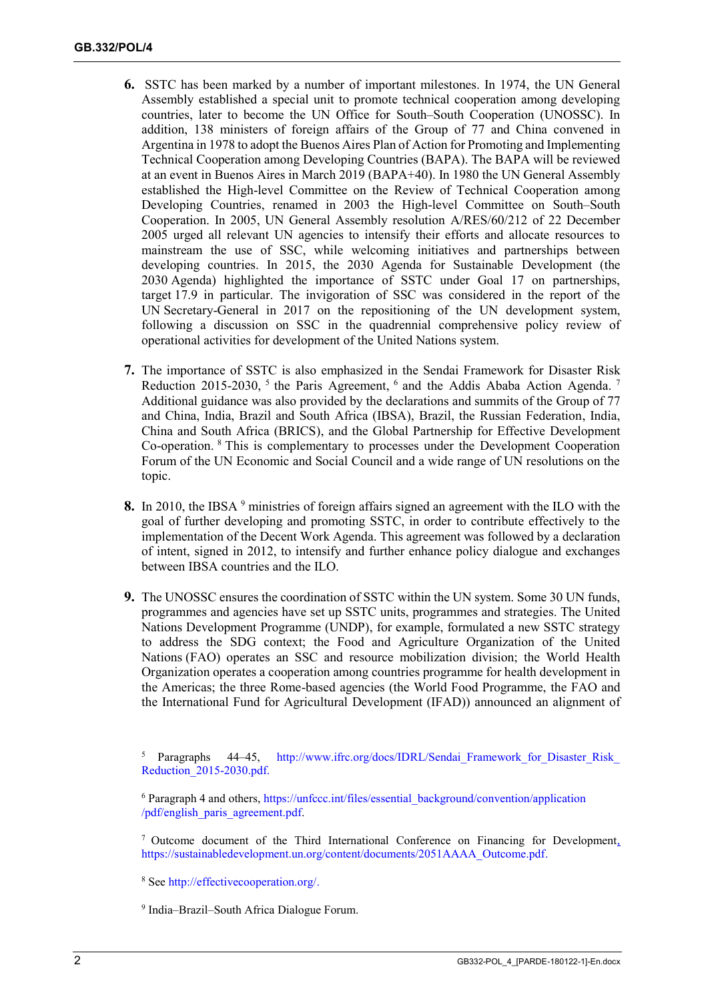- **6.** SSTC has been marked by a number of important milestones. In 1974, the UN General Assembly established a special unit to promote technical cooperation among developing countries, later to become the UN Office for South–South Cooperation (UNOSSC). In addition, 138 ministers of foreign affairs of the Group of 77 and China convened in Argentina in 1978 to adopt the Buenos Aires Plan of Action for Promoting and Implementing Technical Cooperation among Developing Countries (BAPA). The BAPA will be reviewed at an event in Buenos Aires in March 2019 (BAPA+40). In 1980 the UN General Assembly established the High-level Committee on the Review of Technical Cooperation among Developing Countries, renamed in 2003 the High-level Committee on South–South Cooperation. In 2005, UN General Assembly resolution A/RES/60/212 of 22 December 2005 urged all relevant UN agencies to intensify their efforts and allocate resources to mainstream the use of SSC, while welcoming initiatives and partnerships between developing countries. In 2015, the 2030 Agenda for Sustainable Development (the 2030 Agenda) highlighted the importance of SSTC under Goal 17 on partnerships, target 17.9 in particular. The invigoration of SSC was considered in the report of the UN Secretary-General in 2017 on the repositioning of the UN development system, following a discussion on SSC in the quadrennial comprehensive policy review of operational activities for development of the United Nations system.
- **7.** The importance of SSTC is also emphasized in the Sendai Framework for Disaster Risk Reduction 2015-2030,  $5$  the Paris Agreement,  $6$  and the Addis Ababa Action Agenda.<sup>7</sup> Additional guidance was also provided by the declarations and summits of the Group of 77 and China, India, Brazil and South Africa (IBSA), Brazil, the Russian Federation, India, China and South Africa (BRICS), and the Global Partnership for Effective Development Co-operation. <sup>8</sup> This is complementary to processes under the Development Cooperation Forum of the UN Economic and Social Council and a wide range of UN resolutions on the topic.
- 8. In 2010, the IBSA <sup>9</sup> ministries of foreign affairs signed an agreement with the ILO with the goal of further developing and promoting SSTC, in order to contribute effectively to the implementation of the Decent Work Agenda. This agreement was followed by a declaration of intent, signed in 2012, to intensify and further enhance policy dialogue and exchanges between IBSA countries and the ILO.
- **9.** The UNOSSC ensures the coordination of SSTC within the UN system. Some 30 UN funds, programmes and agencies have set up SSTC units, programmes and strategies. The United Nations Development Programme (UNDP), for example, formulated a new SSTC strategy to address the SDG context; the Food and Agriculture Organization of the United Nations (FAO) operates an SSC and resource mobilization division; the World Health Organization operates a cooperation among countries programme for health development in the Americas; the three Rome-based agencies (the World Food Programme, the FAO and the International Fund for Agricultural Development (IFAD)) announced an alignment of

<sup>5</sup> Paragraphs 44–45, http://www.ifrc.org/docs/IDRL/Sendai\_Framework\_for\_Disaster\_Risk [Reduction\\_2015-2030.pdf.](http://www.ifrc.org/docs/IDRL/Sendai_Framework_for_Disaster_Risk_Reduction_2015-2030.pdf)

<sup>6</sup> Paragraph 4 and others, [https://unfccc.int/files/essential\\_background/convention/application](https://unfccc.int/files/essential_background/convention/application/pdf/english_paris_agreement.pdf) [/pdf/english\\_paris\\_agreement.pdf.](https://unfccc.int/files/essential_background/convention/application/pdf/english_paris_agreement.pdf)

<sup>7</sup> Outcome document of the Third International Conference on Financing for Development, [https://sustainabledevelopment.un.org/content/documents/2051AAAA\\_Outcome.pdf.](https://sustainabledevelopment.un.org/content/documents/2051AAAA_Outcome.pdf)

<sup>8</sup> See [http://effectivecooperation.org/.](http://effectivecooperation.org/)

9 India–Brazil–South Africa Dialogue Forum.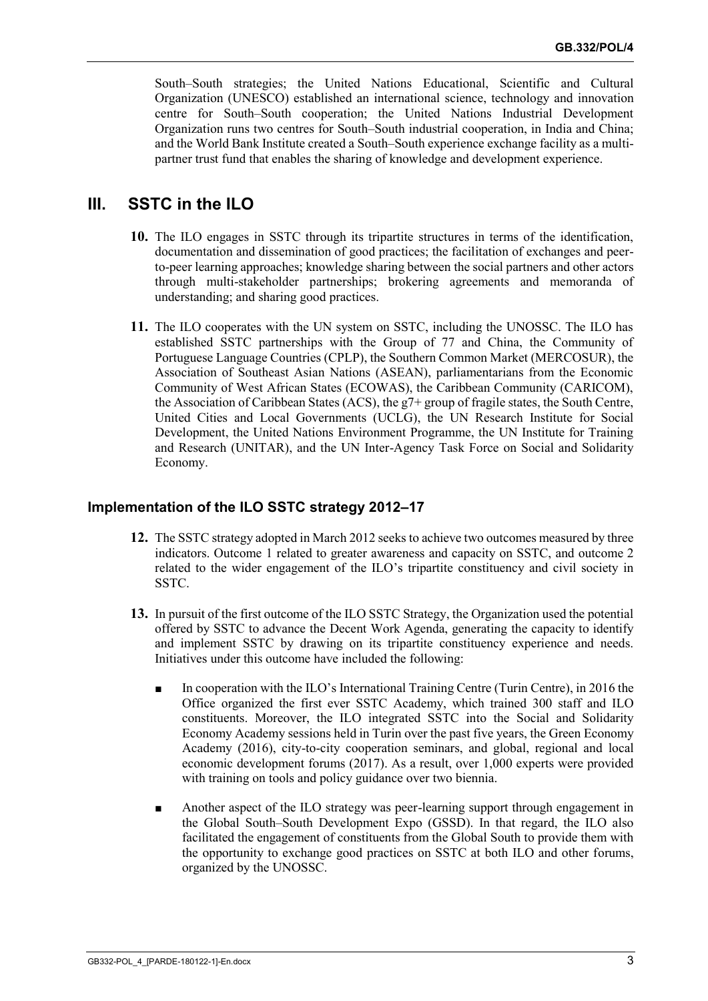South–South strategies; the United Nations Educational, Scientific and Cultural Organization (UNESCO) established an international science, technology and innovation centre for South–South cooperation; the United Nations Industrial Development Organization runs two centres for South–South industrial cooperation, in India and China; and the World Bank Institute created a South–South experience exchange facility as a multipartner trust fund that enables the sharing of knowledge and development experience.

# **III. SSTC in the ILO**

- **10.** The ILO engages in SSTC through its tripartite structures in terms of the identification, documentation and dissemination of good practices; the facilitation of exchanges and peerto-peer learning approaches; knowledge sharing between the social partners and other actors through multi-stakeholder partnerships; brokering agreements and memoranda of understanding; and sharing good practices.
- **11.** The ILO cooperates with the UN system on SSTC, including the UNOSSC. The ILO has established SSTC partnerships with the Group of 77 and China, the Community of Portuguese Language Countries (CPLP), the Southern Common Market (MERCOSUR), the Association of Southeast Asian Nations (ASEAN), parliamentarians from the Economic Community of West African States (ECOWAS), the Caribbean Community (CARICOM), the Association of Caribbean States (ACS), the g7+ group of fragile states, the South Centre, United Cities and Local Governments (UCLG), the UN Research Institute for Social Development, the United Nations Environment Programme, the UN Institute for Training and Research (UNITAR), and the UN Inter-Agency Task Force on Social and Solidarity Economy.

### **Implementation of the ILO SSTC strategy 2012–17**

- **12.** The SSTC strategy adopted in March 2012 seeks to achieve two outcomes measured by three indicators. Outcome 1 related to greater awareness and capacity on SSTC, and outcome 2 related to the wider engagement of the ILO's tripartite constituency and civil society in SSTC.
- **13.** In pursuit of the first outcome of the ILO SSTC Strategy, the Organization used the potential offered by SSTC to advance the Decent Work Agenda, generating the capacity to identify and implement SSTC by drawing on its tripartite constituency experience and needs. Initiatives under this outcome have included the following:
	- In cooperation with the ILO's International Training Centre (Turin Centre), in 2016 the Office organized the first ever SSTC Academy, which trained 300 staff and ILO constituents. Moreover, the ILO integrated SSTC into the Social and Solidarity Economy Academy sessions held in Turin over the past five years, the Green Economy Academy (2016), city-to-city cooperation seminars, and global, regional and local economic development forums (2017). As a result, over 1,000 experts were provided with training on tools and policy guidance over two biennia.
	- Another aspect of the ILO strategy was peer-learning support through engagement in the Global South–South Development Expo (GSSD). In that regard, the ILO also facilitated the engagement of constituents from the Global South to provide them with the opportunity to exchange good practices on SSTC at both ILO and other forums, organized by the UNOSSC.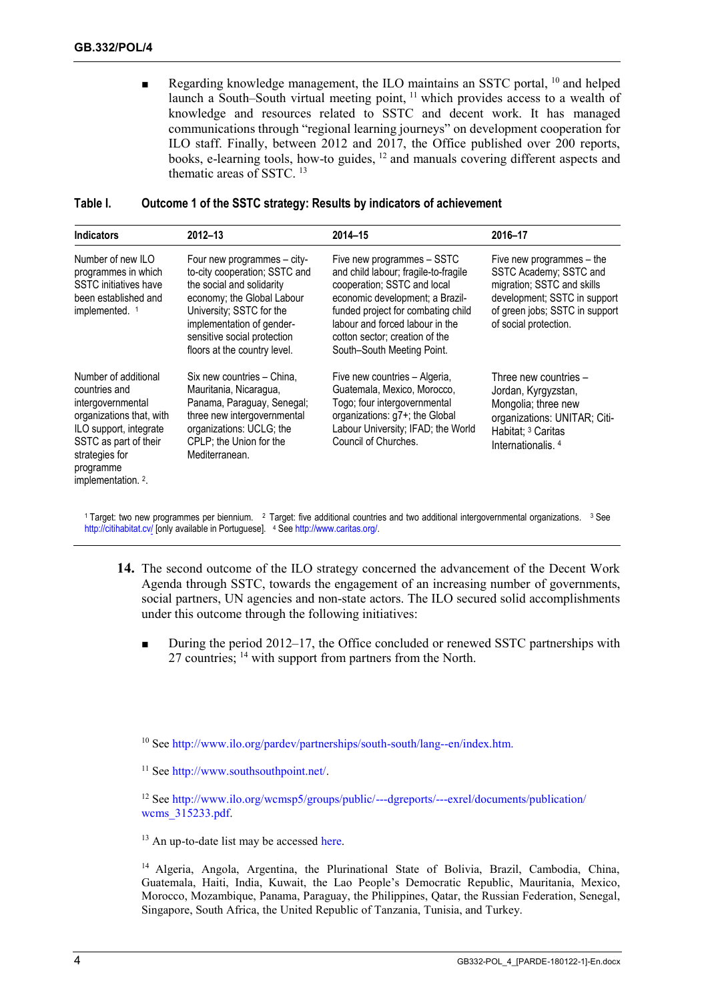Regarding knowledge management, the ILO maintains an SSTC portal, <sup>10</sup> and helped launch a South–South virtual meeting point, <sup>11</sup> which provides access to a wealth of knowledge and resources related to SSTC and decent work. It has managed communications through "regional learning journeys" on development cooperation for ILO staff. Finally, between 2012 and 2017, the Office published over 200 reports, books, e-learning tools, how-to guides, <sup>12</sup> and manuals covering different aspects and thematic areas of SSTC<sup>13</sup>

| <b>Indicators</b>                                                                                                                                                                                          | 2012-13                                                                                                                                                                                                                                         | 2014-15                                                                                                                                                                                                                                                                       | 2016-17                                                                                                                                                                      |
|------------------------------------------------------------------------------------------------------------------------------------------------------------------------------------------------------------|-------------------------------------------------------------------------------------------------------------------------------------------------------------------------------------------------------------------------------------------------|-------------------------------------------------------------------------------------------------------------------------------------------------------------------------------------------------------------------------------------------------------------------------------|------------------------------------------------------------------------------------------------------------------------------------------------------------------------------|
| Number of new ILO<br>programmes in which<br><b>SSTC</b> initiatives have<br>been established and<br>implemented. <sup>1</sup>                                                                              | Four new programmes – city-<br>to-city cooperation; SSTC and<br>the social and solidarity<br>economy; the Global Labour<br>University; SSTC for the<br>implementation of gender-<br>sensitive social protection<br>floors at the country level. | Five new programmes - SSTC<br>and child labour; fragile-to-fragile<br>cooperation; SSTC and local<br>economic development; a Brazil-<br>funded project for combating child<br>labour and forced labour in the<br>cotton sector; creation of the<br>South-South Meeting Point. | Five new programmes – the<br>SSTC Academy; SSTC and<br>migration; SSTC and skills<br>development; SSTC in support<br>of green jobs; SSTC in support<br>of social protection. |
| Number of additional<br>countries and<br>intergovernmental<br>organizations that, with<br>ILO support, integrate<br>SSTC as part of their<br>strategies for<br>programme<br>implementation. <sup>2</sup> . | Six new countries - China,<br>Mauritania, Nicaragua,<br>Panama, Paraguay, Senegal;<br>three new intergovernmental<br>organizations: UCLG; the<br>CPLP; the Union for the<br>Mediterranean.                                                      | Five new countries - Algeria,<br>Guatemala, Mexico, Morocco,<br>Togo; four intergovernmental<br>organizations: g7+; the Global<br>Labour University; IFAD; the World<br>Council of Churches.                                                                                  | Three new countries -<br>Jordan, Kyrgyzstan,<br>Mongolia; three new<br>organizations: UNITAR; Citi-<br>Habitat; <sup>3</sup> Caritas<br>Internationalis. <sup>4</sup>        |

#### **Table I. Outcome 1 of the SSTC strategy: Results by indicators of achievement**

<sup>1</sup> Target: two new programmes per biennium.  $2$  Target: five additional countries and two additional intergovernmental organizations.  $3$  See <http://citihabitat.cv/> [only available in Portuguese]. <sup>4</sup> Se[e http://www.caritas.org/.](http://www.caritas.org/)

- **14.** The second outcome of the ILO strategy concerned the advancement of the Decent Work Agenda through SSTC, towards the engagement of an increasing number of governments, social partners, UN agencies and non-state actors. The ILO secured solid accomplishments under this outcome through the following initiatives:
	- During the period 2012–17, the Office concluded or renewed SSTC partnerships with 27 countries; <sup>14</sup> with support from partners from the North.

<sup>10</sup> See [http://www.ilo.org/pardev/partnerships/south-south/lang--en/index.htm.](http://www.ilo.org/pardev/partnerships/south-south/lang--en/index.htm)

<sup>11</sup> See [http://www.southsouthpoint.net/.](http://www.southsouthpoint.net/)

<sup>12</sup> See [http://www.ilo.org/wcmsp5/groups/public/---dgreports/---exrel/documents/publication/](http://www.ilo.org/wcmsp5/groups/public/---dgreports/---exrel/documents/publication/wcms_315233.pdf) wcms 315233.pdf.

 $13$  An up-to-date list may be accessed [here.](https://drive.google.com/drive/folders/0B9BX0GCP9Kv2VGdWSG5rUHpDVU0)

<sup>14</sup> Algeria, Angola, Argentina, the Plurinational State of Bolivia, Brazil, Cambodia, China, Guatemala, Haiti, India, Kuwait, the Lao People's Democratic Republic, Mauritania, Mexico, Morocco, Mozambique, Panama, Paraguay, the Philippines, Qatar, the Russian Federation, Senegal, Singapore, South Africa, the United Republic of Tanzania, Tunisia, and Turkey.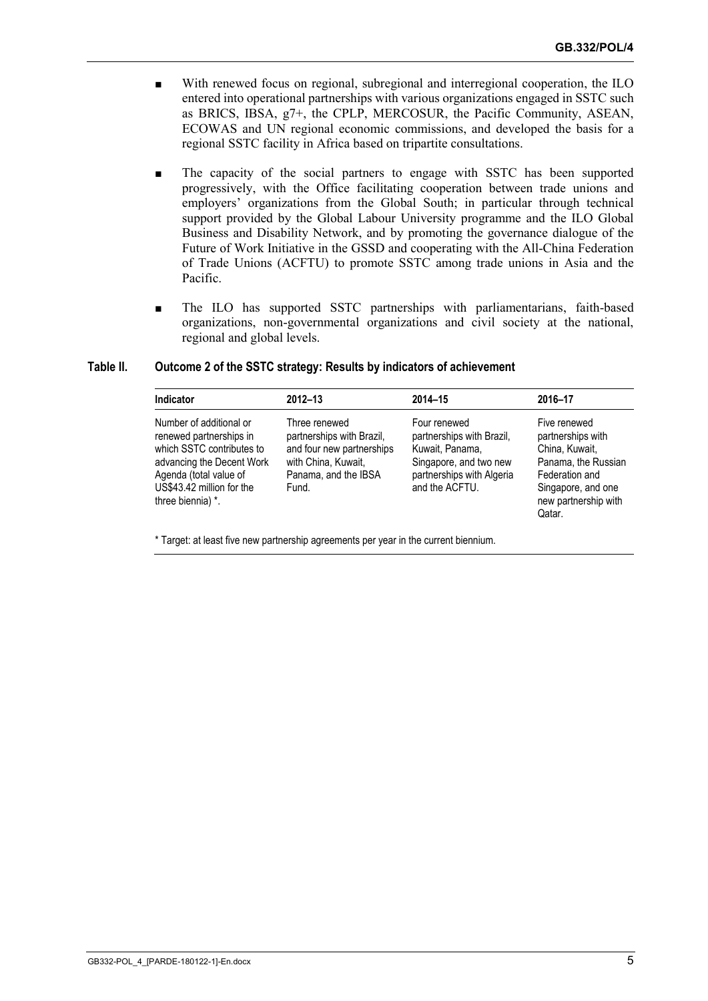- With renewed focus on regional, subregional and interregional cooperation, the ILO entered into operational partnerships with various organizations engaged in SSTC such as BRICS, IBSA, g7+, the CPLP, MERCOSUR, the Pacific Community, ASEAN, ECOWAS and UN regional economic commissions, and developed the basis for a regional SSTC facility in Africa based on tripartite consultations.
- The capacity of the social partners to engage with SSTC has been supported progressively, with the Office facilitating cooperation between trade unions and employers' organizations from the Global South; in particular through technical support provided by the Global Labour University programme and the ILO Global Business and Disability Network, and by promoting the governance dialogue of the Future of Work Initiative in the GSSD and cooperating with the All-China Federation of Trade Unions (ACFTU) to promote SSTC among trade unions in Asia and the Pacific.
- The ILO has supported SSTC partnerships with parliamentarians, faith-based organizations, non-governmental organizations and civil society at the national, regional and global levels.

#### **Indicator 2012–13 2014–15 2016–17** Number of additional or renewed partnerships in which SSTC contributes to advancing the Decent Work Agenda (total value of US\$43.42 million for the three biennia) \*. Three renewed partnerships with Brazil, and four new partnerships with China, Kuwait, Panama, and the IBSA Fund. Four renewed partnerships with Brazil, Kuwait, Panama, Singapore, and two new partnerships with Algeria and the ACFTU. Five renewed partnerships with China, Kuwait, Panama, the Russian Federation and Singapore, and one new partnership with Qatar.

#### **Table II. Outcome 2 of the SSTC strategy: Results by indicators of achievement**

\* Target: at least five new partnership agreements per year in the current biennium.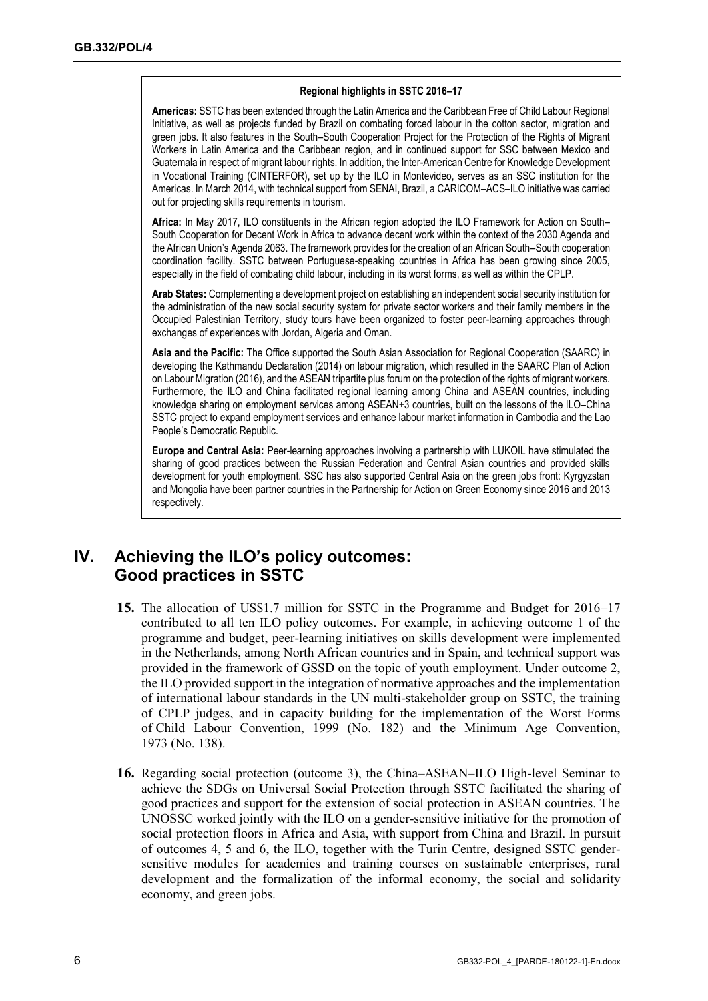#### **Regional highlights in SSTC 2016–17**

**Americas:** SSTC has been extended through the Latin America and the Caribbean Free of Child Labour Regional Initiative, as well as projects funded by Brazil on combating forced labour in the cotton sector, migration and green jobs. It also features in the South–South Cooperation Project for the Protection of the Rights of Migrant Workers in Latin America and the Caribbean region, and in continued support for SSC between Mexico and Guatemala in respect of migrant labour rights. In addition, the Inter-American Centre for Knowledge Development in Vocational Training (CINTERFOR), set up by the ILO in Montevideo, serves as an SSC institution for the Americas. In March 2014, with technical support from SENAI, Brazil, a CARICOM–ACS–ILO initiative was carried out for projecting skills requirements in tourism.

**Africa:** In May 2017, ILO constituents in the African region adopted the ILO Framework for Action on South– South Cooperation for Decent Work in Africa to advance decent work within the context of the 2030 Agenda and the African Union's Agenda 2063. The framework provides for the creation of an African South–South cooperation coordination facility. SSTC between Portuguese-speaking countries in Africa has been growing since 2005, especially in the field of combating child labour, including in its worst forms, as well as within the CPLP.

**Arab States:** Complementing a development project on establishing an independent social security institution for the administration of the new social security system for private sector workers and their family members in the Occupied Palestinian Territory, study tours have been organized to foster peer-learning approaches through exchanges of experiences with Jordan, Algeria and Oman.

**Asia and the Pacific:** The Office supported the South Asian Association for Regional Cooperation (SAARC) in developing the Kathmandu Declaration (2014) on labour migration, which resulted in the SAARC Plan of Action on Labour Migration (2016), and the ASEAN tripartite plus forum on the protection of the rights of migrant workers. Furthermore, the ILO and China facilitated regional learning among China and ASEAN countries, including knowledge sharing on employment services among ASEAN+3 countries, built on the lessons of the ILO–China SSTC project to expand employment services and enhance labour market information in Cambodia and the Lao People's Democratic Republic.

**Europe and Central Asia:** Peer-learning approaches involving a partnership with LUKOIL have stimulated the sharing of good practices between the Russian Federation and Central Asian countries and provided skills development for youth employment. SSC has also supported Central Asia on the green jobs front: Kyrgyzstan and Mongolia have been partner countries in the Partnership for Action on Green Economy since 2016 and 2013 respectively.

# **IV. Achieving the ILO's policy outcomes: Good practices in SSTC**

- **15.** The allocation of US\$1.7 million for SSTC in the Programme and Budget for 2016–17 contributed to all ten ILO policy outcomes. For example, in achieving outcome 1 of the programme and budget, peer-learning initiatives on skills development were implemented in the Netherlands, among North African countries and in Spain, and technical support was provided in the framework of GSSD on the topic of youth employment. Under outcome 2, the ILO provided support in the integration of normative approaches and the implementation of international labour standards in the UN multi-stakeholder group on SSTC, the training of CPLP judges, and in capacity building for the implementation of the Worst Forms of Child Labour Convention, 1999 (No. 182) and the Minimum Age Convention, 1973 (No. 138).
- **16.** Regarding social protection (outcome 3), the China–ASEAN–ILO High-level Seminar to achieve the SDGs on Universal Social Protection through SSTC facilitated the sharing of good practices and support for the extension of social protection in ASEAN countries. The UNOSSC worked jointly with the ILO on a gender-sensitive initiative for the promotion of social protection floors in Africa and Asia, with support from China and Brazil. In pursuit of outcomes 4, 5 and 6, the ILO, together with the Turin Centre, designed SSTC gendersensitive modules for academies and training courses on sustainable enterprises, rural development and the formalization of the informal economy, the social and solidarity economy, and green jobs.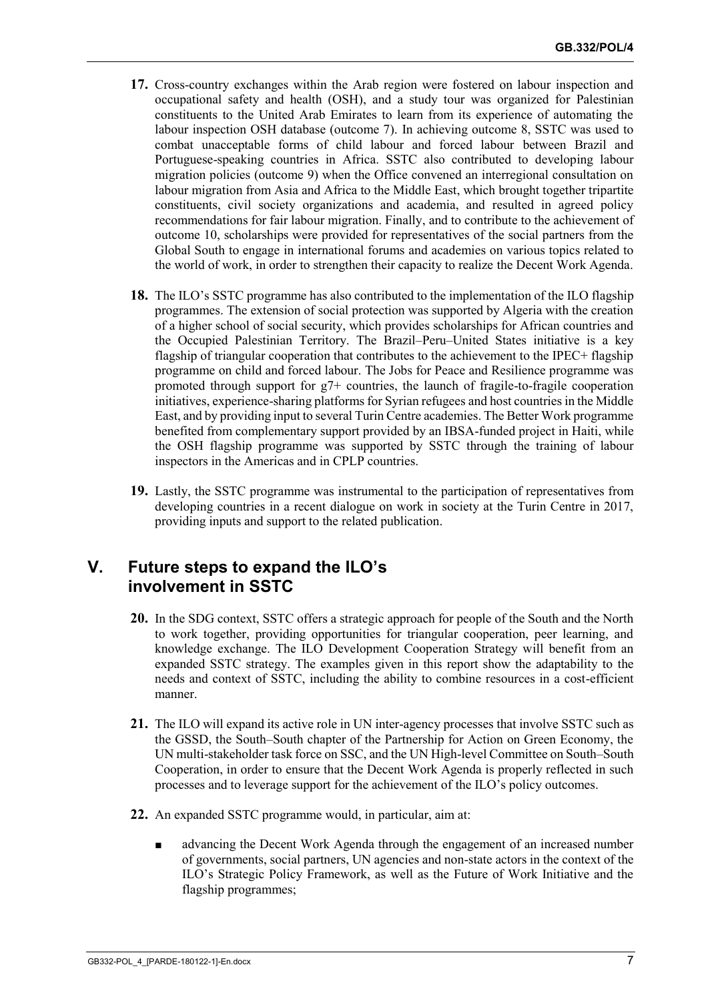- **17.** Cross-country exchanges within the Arab region were fostered on labour inspection and occupational safety and health (OSH), and a study tour was organized for Palestinian constituents to the United Arab Emirates to learn from its experience of automating the labour inspection OSH database (outcome 7). In achieving outcome 8, SSTC was used to combat unacceptable forms of child labour and forced labour between Brazil and Portuguese-speaking countries in Africa. SSTC also contributed to developing labour migration policies (outcome 9) when the Office convened an interregional consultation on labour migration from Asia and Africa to the Middle East, which brought together tripartite constituents, civil society organizations and academia, and resulted in agreed policy recommendations for fair labour migration. Finally, and to contribute to the achievement of outcome 10, scholarships were provided for representatives of the social partners from the Global South to engage in international forums and academies on various topics related to the world of work, in order to strengthen their capacity to realize the Decent Work Agenda.
- **18.** The ILO's SSTC programme has also contributed to the implementation of the ILO flagship programmes. The extension of social protection was supported by Algeria with the creation of a higher school of social security, which provides scholarships for African countries and the Occupied Palestinian Territory. The Brazil–Peru–United States initiative is a key flagship of triangular cooperation that contributes to the achievement to the IPEC+ flagship programme on child and forced labour. The Jobs for Peace and Resilience programme was promoted through support for g7+ countries, the launch of fragile-to-fragile cooperation initiatives, experience-sharing platforms for Syrian refugees and host countries in the Middle East, and by providing input to several Turin Centre academies. The Better Work programme benefited from complementary support provided by an IBSA-funded project in Haiti, while the OSH flagship programme was supported by SSTC through the training of labour inspectors in the Americas and in CPLP countries.
- **19.** Lastly, the SSTC programme was instrumental to the participation of representatives from developing countries in a recent dialogue on work in society at the Turin Centre in 2017, providing inputs and support to the related publication.

# **V. Future steps to expand the ILO's involvement in SSTC**

- **20.** In the SDG context, SSTC offers a strategic approach for people of the South and the North to work together, providing opportunities for triangular cooperation, peer learning, and knowledge exchange. The ILO Development Cooperation Strategy will benefit from an expanded SSTC strategy. The examples given in this report show the adaptability to the needs and context of SSTC, including the ability to combine resources in a cost-efficient manner.
- **21.** The ILO will expand its active role in UN inter-agency processes that involve SSTC such as the GSSD, the South–South chapter of the Partnership for Action on Green Economy, the UN multi-stakeholder task force on SSC, and the UN High-level Committee on South–South Cooperation, in order to ensure that the Decent Work Agenda is properly reflected in such processes and to leverage support for the achievement of the ILO's policy outcomes.
- **22.** An expanded SSTC programme would, in particular, aim at:
	- advancing the Decent Work Agenda through the engagement of an increased number of governments, social partners, UN agencies and non-state actors in the context of the ILO's Strategic Policy Framework, as well as the Future of Work Initiative and the flagship programmes;